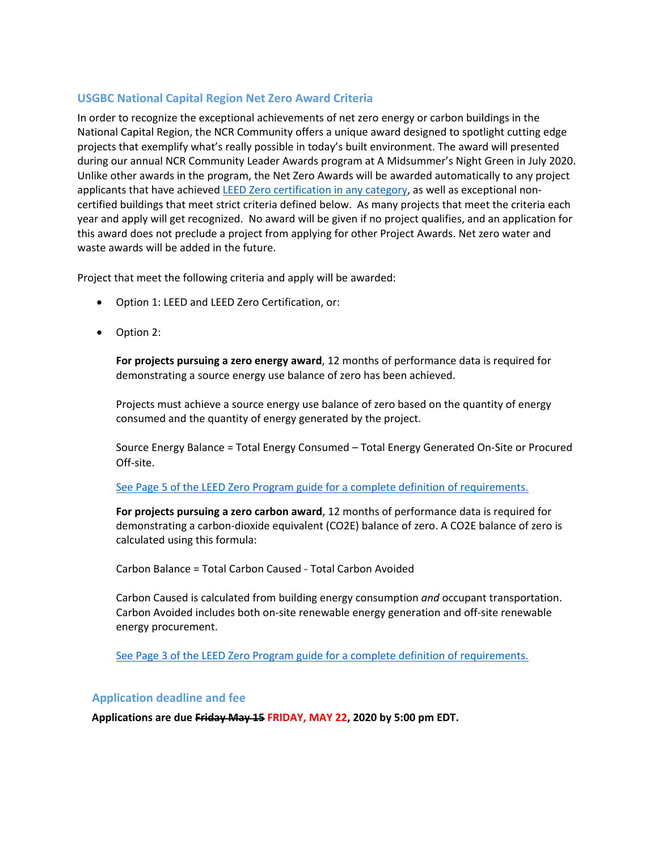# **USGBC National Capital Region Net Zero Award Criteria**

In order to recognize the exceptional achievements of net zero energy or carbon buildings in the National Capital Region, the NCR Community offers a unique award designed to spotlight cutting edge projects that exemplify what's really possible in today's built environment. The award will presented during our annual NCR Community Leader Awards program at A Midsummer's Night Green in July 2020. Unlike other awards in the program, the Net Zero Awards will be awarded automatically to any project applicants that have achieved [LEED Zero certification in any category,](https://new.usgbc.org/leed-zero) as well as exceptional noncertified buildings that meet strict criteria defined below. As many projects that meet the criteria each year and apply will get recognized. No award will be given if no project qualifies, and an application for this award does not preclude a project from applying for other Project Awards. Net zero water and waste awards will be added in the future.

Project that meet the following criteria and apply will be awarded:

- Option 1: LEED and LEED Zero Certification, or:
- Option 2:

**For projects pursuing a zero energy award**, 12 months of performance data is required for demonstrating a source energy use balance of zero has been achieved.

Projects must achieve a source energy use balance of zero based on the quantity of energy consumed and the quantity of energy generated by the project.

Source Energy Balance = Total Energy Consumed – Total Energy Generated On-Site or Procured Off-site.

#### [See Page 5 of the LEED Zero Program guide for a complete definition of requirements.](https://usgbc-my.sharepoint.com/:b:/g/personal/lcommunities_usgbc_org/EV3gTjIGFrtEtIahfu1t1tEBUr6sa8oz06wwv782Ob4d9w?e=56SrbN)

**For projects pursuing a zero carbon award**, 12 months of performance data is required for demonstrating a carbon-dioxide equivalent (CO2E) balance of zero. A CO2E balance of zero is calculated using this formula:

Carbon Balance = Total Carbon Caused - Total Carbon Avoided

Carbon Caused is calculated from building energy consumption *and* occupant transportation. Carbon Avoided includes both on-site renewable energy generation and off-site renewable energy procurement.

[See Page 3 of the LEED Zero Program guide for a complete definition of requirements.](https://usgbc-my.sharepoint.com/:b:/g/personal/lcommunities_usgbc_org/EV3gTjIGFrtEtIahfu1t1tEBUr6sa8oz06wwv782Ob4d9w?e=56SrbN)

#### **Application deadline and fee**

**Applications are due Friday May 15 FRIDAY, MAY 22, 2020 by 5:00 pm EDT.**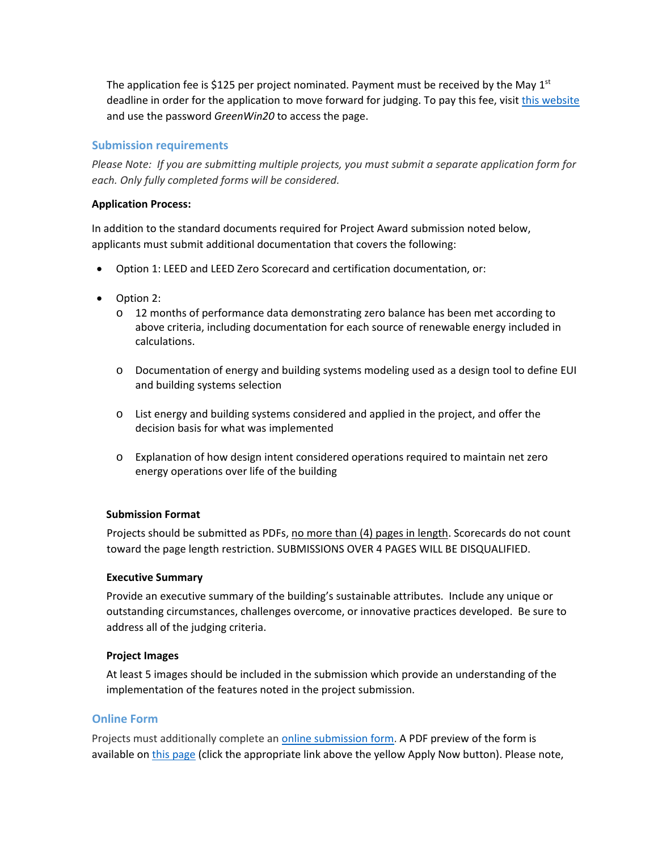The application fee is \$125 per project nominated. Payment must be received by the May  $1<sup>st</sup>$ deadline in order for the application to move forward for judging. To pay this fee, visi[t this website](https://ncrawards20.eventbrite.com/) and use the password *GreenWin20* to access the page.

# **Submission requirements**

*Please Note: If you are submitting multiple projects, you must submit a separate application form for each. Only fully completed forms will be considered.* 

#### **Application Process:**

In addition to the standard documents required for Project Award submission noted below, applicants must submit additional documentation that covers the following:

- Option 1: LEED and LEED Zero Scorecard and certification documentation, or:
- Option 2:
	- o 12 months of performance data demonstrating zero balance has been met according to above criteria, including documentation for each source of renewable energy included in calculations.
	- o Documentation of energy and building systems modeling used as a design tool to define EUI and building systems selection
	- o List energy and building systems considered and applied in the project, and offer the decision basis for what was implemented
	- o Explanation of how design intent considered operations required to maintain net zero energy operations over life of the building

## **Submission Format**

Projects should be submitted as PDFs, no more than (4) pages in length. Scorecards do not count toward the page length restriction. SUBMISSIONS OVER 4 PAGES WILL BE DISQUALIFIED.

#### **Executive Summary**

Provide an executive summary of the building's sustainable attributes. Include any unique or outstanding circumstances, challenges overcome, or innovative practices developed. Be sure to address all of the judging criteria.

## **Project Images**

At least 5 images should be included in the submission which provide an understanding of the implementation of the features noted in the project submission.

## **Online Form**

Projects must additionally complete an [online submission form.](https://usgbc.wufoo.com/forms/q16dh9wy024e1ac/) A PDF preview of the form is available o[n this page](https://www.amidsummernightsgreen.com/project-awards-criteria) (click the appropriate link above the yellow Apply Now button). Please note,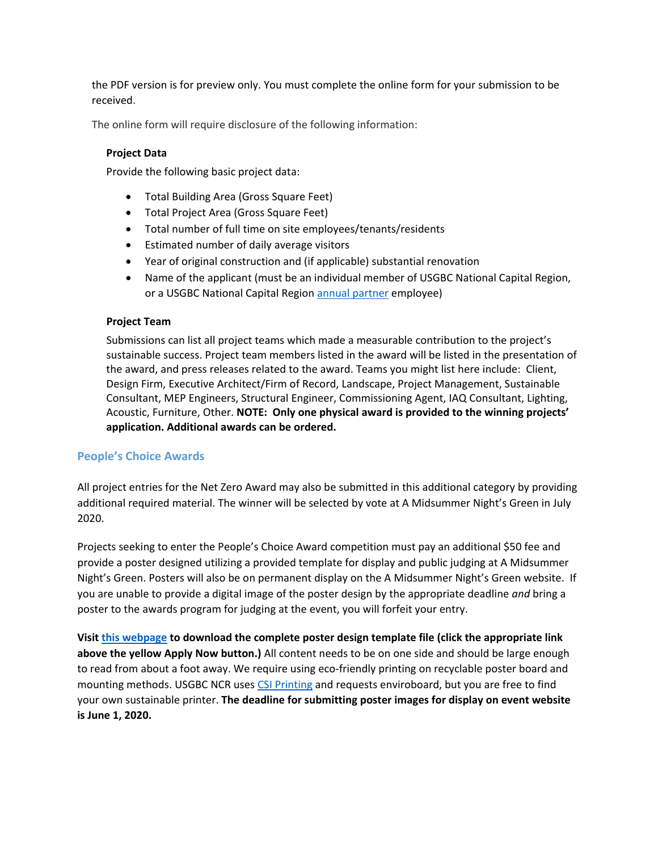the PDF version is for preview only. You must complete the online form for your submission to be received.

The online form will require disclosure of the following information:

# **Project Data**

Provide the following basic project data:

- Total Building Area (Gross Square Feet)
- Total Project Area (Gross Square Feet)
- Total number of full time on site employees/tenants/residents
- Estimated number of daily average visitors
- Year of original construction and (if applicable) substantial renovation
- Name of the applicant (must be an individual member of USGBC National Capital Region, or a USGBC National Capital Region **annual partner** employee)

#### **Project Team**

Submissions can list all project teams which made a measurable contribution to the project's sustainable success. Project team members listed in the award will be listed in the presentation of the award, and press releases related to the award. Teams you might list here include: Client, Design Firm, Executive Architect/Firm of Record, Landscape, Project Management, Sustainable Consultant, MEP Engineers, Structural Engineer, Commissioning Agent, IAQ Consultant, Lighting, Acoustic, Furniture, Other. **NOTE: Only one physical award is provided to the winning projects' application. Additional awards can be ordered.**

## **People's Choice Awards**

All project entries for the Net Zero Award may also be submitted in this additional category by providing additional required material. The winner will be selected by vote at A Midsummer Night's Green in July 2020.

Projects seeking to enter the People's Choice Award competition must pay an additional \$50 fee and provide a poster designed utilizing a provided template for display and public judging at A Midsummer Night's Green. Posters will also be on permanent display on the A Midsummer Night's Green website. If you are unable to provide a digital image of the poster design by the appropriate deadline *and* bring a poster to the awards program for judging at the event, you will forfeit your entry.

**Visi[t this webpage](https://www.amidsummernightsgreen.com/project-awards-criteria) to download the complete poster design template file (click the appropriate link above the yellow Apply Now button.)** All content needs to be on one side and should be large enough to read from about a foot away. We require using eco-friendly printing on recyclable poster board and mounting methods. USGBC NCR uses [CSI Printing](http://csi2.com/) and requests enviroboard, but you are free to find your own sustainable printer. **The deadline for submitting poster images for display on event website is June 1, 2020.**